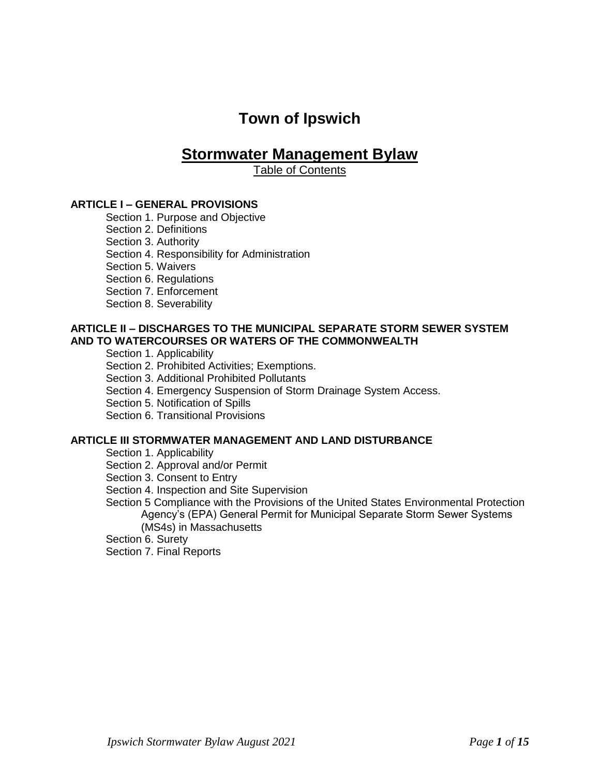# **Town of Ipswich**

## **Stormwater Management Bylaw**

Table of Contents

## **ARTICLE I – GENERAL PROVISIONS**

Section 1. Purpose and Objective

Section 2. Definitions

Section 3. Authority

Section 4. Responsibility for Administration

Section 5. Waivers

Section 6. Regulations

Section 7. Enforcement

Section 8. Severability

#### **ARTICLE II – DISCHARGES TO THE MUNICIPAL SEPARATE STORM SEWER SYSTEM AND TO WATERCOURSES OR WATERS OF THE COMMONWEALTH**

Section 1. Applicability

Section 2. Prohibited Activities; Exemptions.

Section 3. Additional Prohibited Pollutants

Section 4. Emergency Suspension of Storm Drainage System Access.

Section 5. Notification of Spills

Section 6. Transitional Provisions

#### **ARTICLE III STORMWATER MANAGEMENT AND LAND DISTURBANCE**

Section 1. Applicability

Section 2. Approval and/or Permit

Section 3. Consent to Entry

Section 4. Inspection and Site Supervision

Section 5 Compliance with the Provisions of the United States Environmental Protection Agency's (EPA) General Permit for Municipal Separate Storm Sewer Systems (MS4s) in Massachusetts

Section 6. Surety

Section 7. Final Reports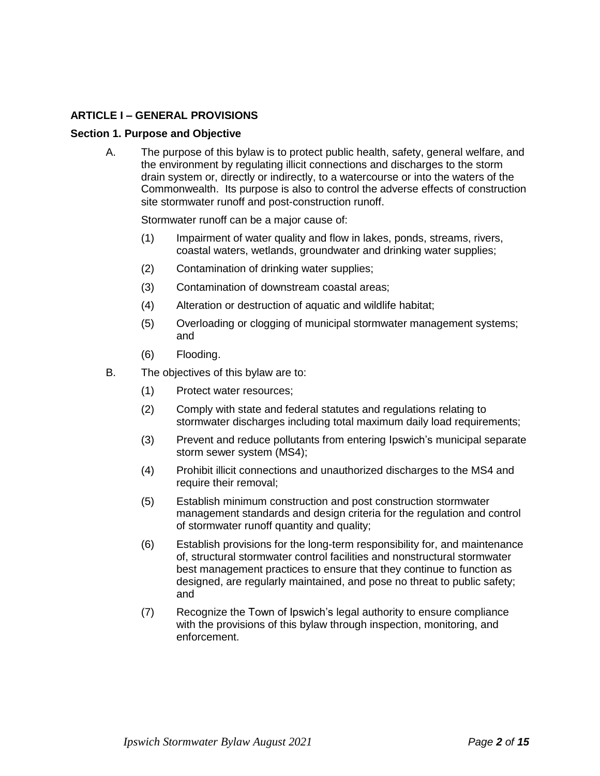## **ARTICLE I – GENERAL PROVISIONS**

#### **Section 1. Purpose and Objective**

A. The purpose of this bylaw is to protect public health, safety, general welfare, and the environment by regulating illicit connections and discharges to the storm drain system or, directly or indirectly, to a watercourse or into the waters of the Commonwealth. Its purpose is also to control the adverse effects of construction site stormwater runoff and post-construction runoff.

Stormwater runoff can be a major cause of:

- (1) Impairment of water quality and flow in lakes, ponds, streams, rivers, coastal waters, wetlands, groundwater and drinking water supplies;
- (2) Contamination of drinking water supplies;
- (3) Contamination of downstream coastal areas;
- (4) Alteration or destruction of aquatic and wildlife habitat;
- (5) Overloading or clogging of municipal stormwater management systems; and
- (6) Flooding.
- B. The objectives of this bylaw are to:
	- (1) Protect water resources;
	- (2) Comply with state and federal statutes and regulations relating to stormwater discharges including total maximum daily load requirements;
	- (3) Prevent and reduce pollutants from entering Ipswich's municipal separate storm sewer system (MS4);
	- (4) Prohibit illicit connections and unauthorized discharges to the MS4 and require their removal;
	- (5) Establish minimum construction and post construction stormwater management standards and design criteria for the regulation and control of stormwater runoff quantity and quality;
	- (6) Establish provisions for the long-term responsibility for, and maintenance of, structural stormwater control facilities and nonstructural stormwater best management practices to ensure that they continue to function as designed, are regularly maintained, and pose no threat to public safety; and
	- (7) Recognize the Town of Ipswich's legal authority to ensure compliance with the provisions of this bylaw through inspection, monitoring, and enforcement.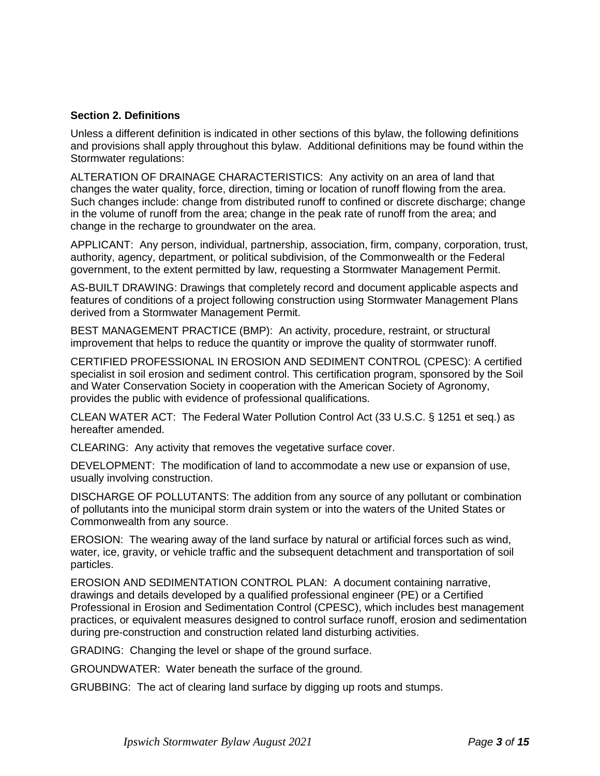## **Section 2. Definitions**

Unless a different definition is indicated in other sections of this bylaw, the following definitions and provisions shall apply throughout this bylaw. Additional definitions may be found within the Stormwater regulations:

ALTERATION OF DRAINAGE CHARACTERISTICS: Any activity on an area of land that changes the water quality, force, direction, timing or location of runoff flowing from the area. Such changes include: change from distributed runoff to confined or discrete discharge; change in the volume of runoff from the area; change in the peak rate of runoff from the area; and change in the recharge to groundwater on the area.

APPLICANT: Any person, individual, partnership, association, firm, company, corporation, trust, authority, agency, department, or political subdivision, of the Commonwealth or the Federal government, to the extent permitted by law, requesting a Stormwater Management Permit.

AS-BUILT DRAWING: Drawings that completely record and document applicable aspects and features of conditions of a project following construction using Stormwater Management Plans derived from a Stormwater Management Permit.

BEST MANAGEMENT PRACTICE (BMP): An activity, procedure, restraint, or structural improvement that helps to reduce the quantity or improve the quality of stormwater runoff.

CERTIFIED PROFESSIONAL IN EROSION AND SEDIMENT CONTROL (CPESC): A certified specialist in soil erosion and sediment control. This certification program, sponsored by the Soil and Water Conservation Society in cooperation with the American Society of Agronomy, provides the public with evidence of professional qualifications.

CLEAN WATER ACT: The Federal Water Pollution Control Act (33 U.S.C. § 1251 et seq.) as hereafter amended.

CLEARING: Any activity that removes the vegetative surface cover.

DEVELOPMENT: The modification of land to accommodate a new use or expansion of use, usually involving construction.

DISCHARGE OF POLLUTANTS: The addition from any source of any pollutant or combination of pollutants into the municipal storm drain system or into the waters of the United States or Commonwealth from any source.

EROSION: The wearing away of the land surface by natural or artificial forces such as wind, water, ice, gravity, or vehicle traffic and the subsequent detachment and transportation of soil particles.

EROSION AND SEDIMENTATION CONTROL PLAN: A document containing narrative, drawings and details developed by a qualified professional engineer (PE) or a Certified Professional in Erosion and Sedimentation Control (CPESC), which includes best management practices, or equivalent measures designed to control surface runoff, erosion and sedimentation during pre-construction and construction related land disturbing activities.

GRADING: Changing the level or shape of the ground surface.

GROUNDWATER: Water beneath the surface of the ground.

GRUBBING: The act of clearing land surface by digging up roots and stumps.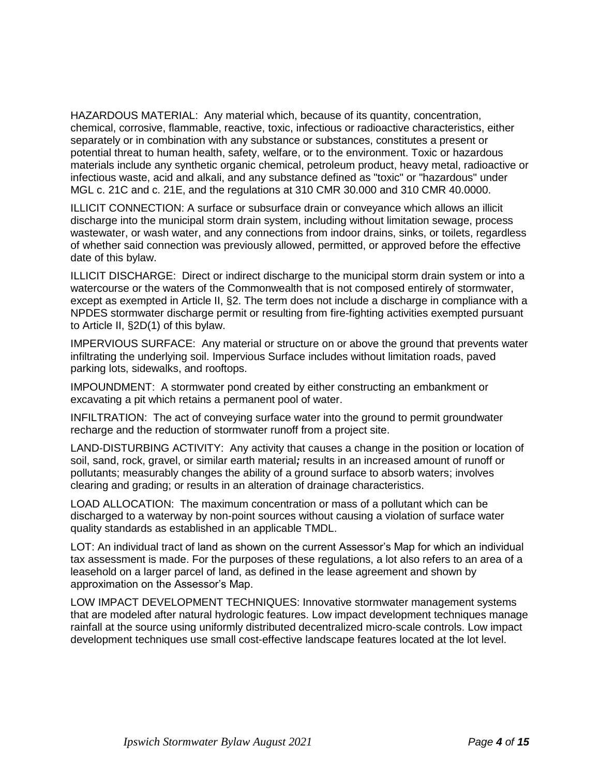HAZARDOUS MATERIAL: Any material which, because of its quantity, concentration, chemical, corrosive, flammable, reactive, toxic, infectious or radioactive characteristics, either separately or in combination with any substance or substances, constitutes a present or potential threat to human health, safety, welfare, or to the environment. Toxic or hazardous materials include any synthetic organic chemical, petroleum product, heavy metal, radioactive or infectious waste, acid and alkali, and any substance defined as "toxic" or "hazardous" under MGL c. 21C and c. 21E, and the regulations at 310 CMR 30.000 and 310 CMR 40.0000.

ILLICIT CONNECTION: A surface or subsurface drain or conveyance which allows an illicit discharge into the municipal storm drain system, including without limitation sewage, process wastewater, or wash water, and any connections from indoor drains, sinks, or toilets, regardless of whether said connection was previously allowed, permitted, or approved before the effective date of this bylaw.

ILLICIT DISCHARGE: Direct or indirect discharge to the municipal storm drain system or into a watercourse or the waters of the Commonwealth that is not composed entirely of stormwater, except as exempted in Article II, §2. The term does not include a discharge in compliance with a NPDES stormwater discharge permit or resulting from fire-fighting activities exempted pursuant to Article II, §2D(1) of this bylaw.

IMPERVIOUS SURFACE: Any material or structure on or above the ground that prevents water infiltrating the underlying soil. Impervious Surface includes without limitation roads, paved parking lots, sidewalks, and rooftops.

IMPOUNDMENT: A stormwater pond created by either constructing an embankment or excavating a pit which retains a permanent pool of water.

INFILTRATION: The act of conveying surface water into the ground to permit groundwater recharge and the reduction of stormwater runoff from a project site.

LAND-DISTURBING ACTIVITY: Any activity that causes a change in the position or location of soil, sand, rock, gravel, or similar earth material*;* results in an increased amount of runoff or pollutants; measurably changes the ability of a ground surface to absorb waters; involves clearing and grading; or results in an alteration of drainage characteristics.

LOAD ALLOCATION: The maximum concentration or mass of a pollutant which can be discharged to a waterway by non-point sources without causing a violation of surface water quality standards as established in an applicable TMDL.

LOT: An individual tract of land as shown on the current Assessor's Map for which an individual tax assessment is made. For the purposes of these regulations, a lot also refers to an area of a leasehold on a larger parcel of land, as defined in the lease agreement and shown by approximation on the Assessor's Map.

LOW IMPACT DEVELOPMENT TECHNIQUES: Innovative stormwater management systems that are modeled after natural hydrologic features. Low impact development techniques manage rainfall at the source using uniformly distributed decentralized micro-scale controls. Low impact development techniques use small cost-effective landscape features located at the lot level.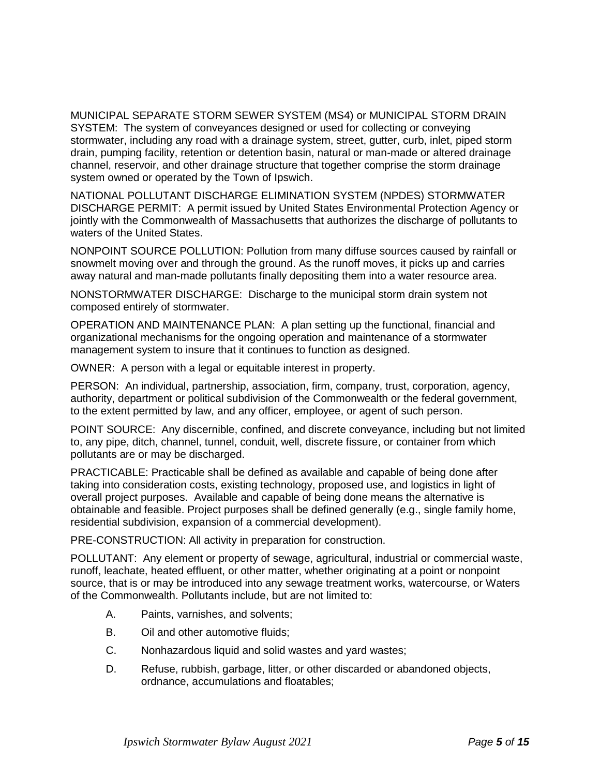MUNICIPAL SEPARATE STORM SEWER SYSTEM (MS4) or MUNICIPAL STORM DRAIN SYSTEM: The system of conveyances designed or used for collecting or conveying stormwater, including any road with a drainage system, street, gutter, curb, inlet, piped storm drain, pumping facility, retention or detention basin, natural or man-made or altered drainage channel, reservoir, and other drainage structure that together comprise the storm drainage system owned or operated by the Town of Ipswich.

NATIONAL POLLUTANT DISCHARGE ELIMINATION SYSTEM (NPDES) STORMWATER DISCHARGE PERMIT: A permit issued by United States Environmental Protection Agency or jointly with the Commonwealth of Massachusetts that authorizes the discharge of pollutants to waters of the United States.

NONPOINT SOURCE POLLUTION: Pollution from many diffuse sources caused by rainfall or snowmelt moving over and through the ground. As the runoff moves, it picks up and carries away natural and man-made pollutants finally depositing them into a water resource area.

NONSTORMWATER DISCHARGE: Discharge to the municipal storm drain system not composed entirely of stormwater.

OPERATION AND MAINTENANCE PLAN: A plan setting up the functional, financial and organizational mechanisms for the ongoing operation and maintenance of a stormwater management system to insure that it continues to function as designed.

OWNER: A person with a legal or equitable interest in property.

PERSON: An individual, partnership, association, firm, company, trust, corporation, agency, authority, department or political subdivision of the Commonwealth or the federal government, to the extent permitted by law, and any officer, employee, or agent of such person.

POINT SOURCE: Any discernible, confined, and discrete conveyance, including but not limited to, any pipe, ditch, channel, tunnel, conduit, well, discrete fissure, or container from which pollutants are or may be discharged.

PRACTICABLE: Practicable shall be defined as available and capable of being done after taking into consideration costs, existing technology, proposed use, and logistics in light of overall project purposes. Available and capable of being done means the alternative is obtainable and feasible. Project purposes shall be defined generally (e.g., single family home, residential subdivision, expansion of a commercial development).

PRE-CONSTRUCTION: All activity in preparation for construction.

POLLUTANT: Any element or property of sewage, agricultural, industrial or commercial waste, runoff, leachate, heated effluent, or other matter, whether originating at a point or nonpoint source, that is or may be introduced into any sewage treatment works, watercourse, or Waters of the Commonwealth. Pollutants include, but are not limited to:

- A. Paints, varnishes, and solvents;
- B. Oil and other automotive fluids;
- C. Nonhazardous liquid and solid wastes and yard wastes;
- D. Refuse, rubbish, garbage, litter, or other discarded or abandoned objects, ordnance, accumulations and floatables;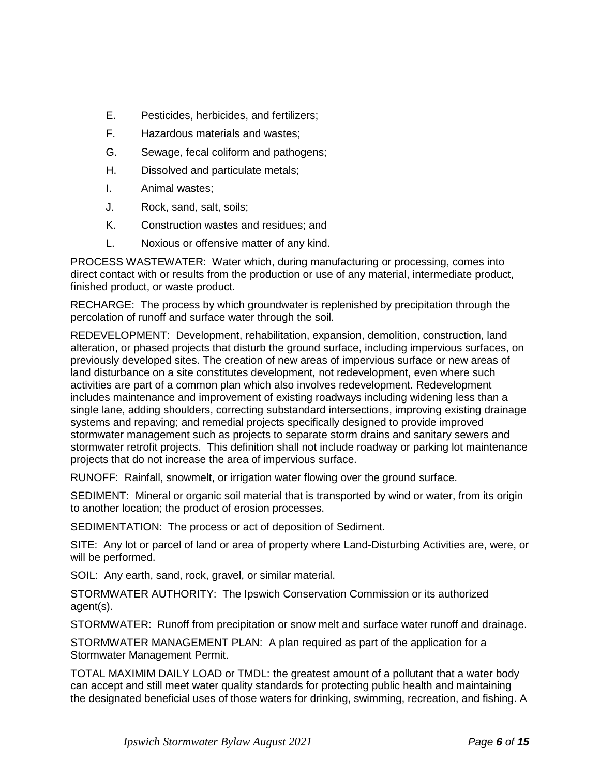- E. Pesticides, herbicides, and fertilizers;
- F. Hazardous materials and wastes;
- G. Sewage, fecal coliform and pathogens;
- H. Dissolved and particulate metals;
- I. Animal wastes;
- J. Rock, sand, salt, soils;
- K. Construction wastes and residues; and
- L. Noxious or offensive matter of any kind.

PROCESS WASTEWATER: Water which, during manufacturing or processing, comes into direct contact with or results from the production or use of any material, intermediate product, finished product, or waste product.

RECHARGE: The process by which groundwater is replenished by precipitation through the percolation of runoff and surface water through the soil.

REDEVELOPMENT: Development, rehabilitation, expansion, demolition, construction, land alteration, or phased projects that disturb the ground surface, including impervious surfaces, on previously developed sites. The creation of new areas of impervious surface or new areas of land disturbance on a site constitutes development*,* not redevelopment, even where such activities are part of a common plan which also involves redevelopment. Redevelopment includes maintenance and improvement of existing roadways including widening less than a single lane, adding shoulders, correcting substandard intersections, improving existing drainage systems and repaving; and remedial projects specifically designed to provide improved stormwater management such as projects to separate storm drains and sanitary sewers and stormwater retrofit projects. This definition shall not include roadway or parking lot maintenance projects that do not increase the area of impervious surface.

RUNOFF: Rainfall, snowmelt, or irrigation water flowing over the ground surface.

SEDIMENT: Mineral or organic soil material that is transported by wind or water, from its origin to another location; the product of erosion processes.

SEDIMENTATION: The process or act of deposition of Sediment.

SITE: Any lot or parcel of land or area of property where Land-Disturbing Activities are, were, or will be performed.

SOIL: Any earth, sand, rock, gravel, or similar material.

STORMWATER AUTHORITY: The Ipswich Conservation Commission or its authorized agent(s).

STORMWATER: Runoff from precipitation or snow melt and surface water runoff and drainage.

STORMWATER MANAGEMENT PLAN: A plan required as part of the application for a Stormwater Management Permit.

TOTAL MAXIMIM DAILY LOAD or TMDL: the greatest amount of a pollutant that a water body can accept and still meet water quality standards for protecting public health and maintaining the designated beneficial uses of those waters for drinking, swimming, recreation, and fishing. A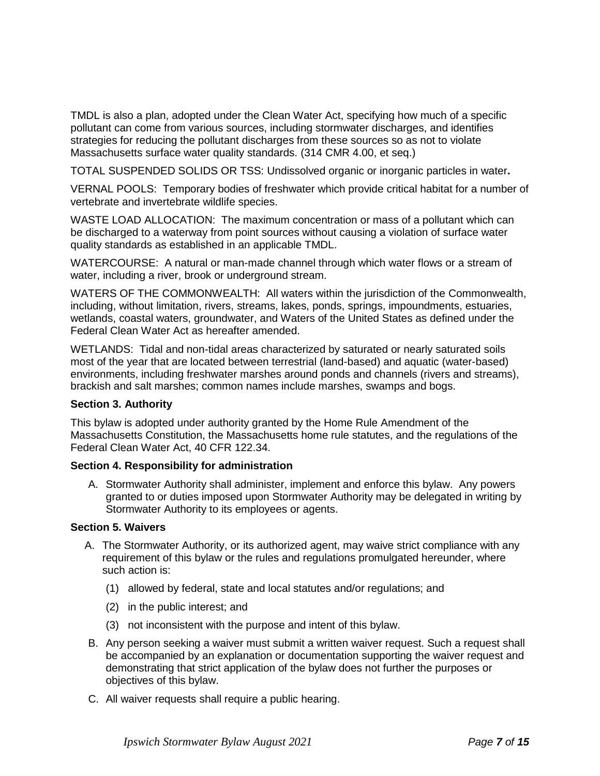TMDL is also a plan, adopted under the Clean Water Act, specifying how much of a specific pollutant can come from various sources, including stormwater discharges, and identifies strategies for reducing the pollutant discharges from these sources so as not to violate Massachusetts surface water quality standards. (314 CMR 4.00, et seq.)

TOTAL SUSPENDED SOLIDS OR TSS: Undissolved organic or inorganic particles in water**.**

VERNAL POOLS: Temporary bodies of freshwater which provide critical habitat for a number of vertebrate and invertebrate wildlife species.

WASTE LOAD ALLOCATION: The maximum concentration or mass of a pollutant which can be discharged to a waterway from point sources without causing a violation of surface water quality standards as established in an applicable TMDL.

WATERCOURSE: A natural or man-made channel through which water flows or a stream of water, including a river, brook or underground stream.

WATERS OF THE COMMONWEALTH: All waters within the jurisdiction of the Commonwealth, including, without limitation, rivers, streams, lakes, ponds, springs, impoundments, estuaries, wetlands, coastal waters, groundwater, and Waters of the United States as defined under the Federal Clean Water Act as hereafter amended.

WETLANDS: Tidal and non-tidal areas characterized by saturated or nearly saturated soils most of the year that are located between terrestrial (land-based) and aquatic (water-based) environments, including freshwater marshes around ponds and channels (rivers and streams), brackish and salt marshes; common names include marshes, swamps and bogs.

## **Section 3. Authority**

This bylaw is adopted under authority granted by the Home Rule Amendment of the Massachusetts Constitution, the Massachusetts home rule statutes, and the regulations of the Federal Clean Water Act, 40 CFR 122.34.

#### **Section 4. Responsibility for administration**

A. Stormwater Authority shall administer, implement and enforce this bylaw. Any powers granted to or duties imposed upon Stormwater Authority may be delegated in writing by Stormwater Authority to its employees or agents.

#### **Section 5. Waivers**

- A. The Stormwater Authority, or its authorized agent, may waive strict compliance with any requirement of this bylaw or the rules and regulations promulgated hereunder, where such action is:
	- (1) allowed by federal, state and local statutes and/or regulations; and
	- (2) in the public interest; and
	- (3) not inconsistent with the purpose and intent of this bylaw.
- B. Any person seeking a waiver must submit a written waiver request. Such a request shall be accompanied by an explanation or documentation supporting the waiver request and demonstrating that strict application of the bylaw does not further the purposes or objectives of this bylaw.
- C. All waiver requests shall require a public hearing.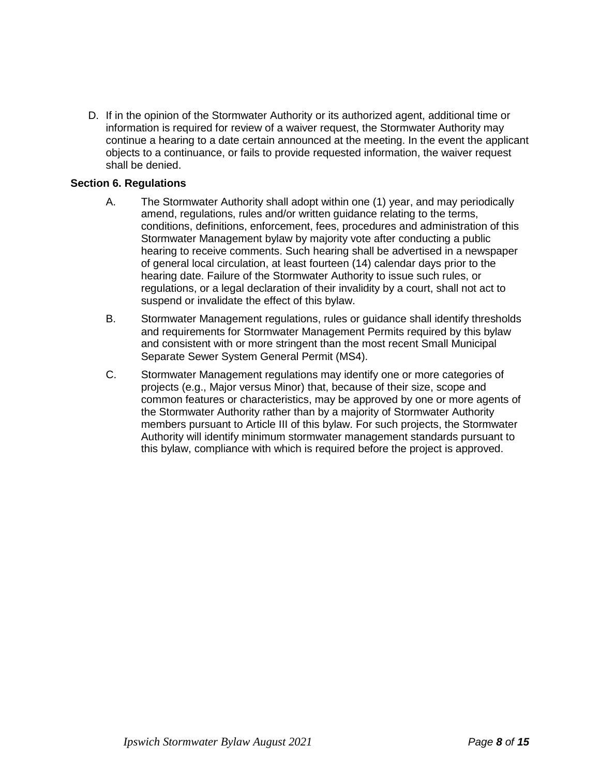D. If in the opinion of the Stormwater Authority or its authorized agent, additional time or information is required for review of a waiver request, the Stormwater Authority may continue a hearing to a date certain announced at the meeting. In the event the applicant objects to a continuance, or fails to provide requested information, the waiver request shall be denied.

#### **Section 6. Regulations**

- A. The Stormwater Authority shall adopt within one (1) year, and may periodically amend, regulations, rules and/or written guidance relating to the terms, conditions, definitions, enforcement, fees, procedures and administration of this Stormwater Management bylaw by majority vote after conducting a public hearing to receive comments. Such hearing shall be advertised in a newspaper of general local circulation, at least fourteen (14) calendar days prior to the hearing date. Failure of the Stormwater Authority to issue such rules, or regulations, or a legal declaration of their invalidity by a court, shall not act to suspend or invalidate the effect of this bylaw.
- B. Stormwater Management regulations, rules or guidance shall identify thresholds and requirements for Stormwater Management Permits required by this bylaw and consistent with or more stringent than the most recent Small Municipal Separate Sewer System General Permit (MS4).
- C. Stormwater Management regulations may identify one or more categories of projects (e.g., Major versus Minor) that, because of their size, scope and common features or characteristics, may be approved by one or more agents of the Stormwater Authority rather than by a majority of Stormwater Authority members pursuant to Article III of this bylaw. For such projects, the Stormwater Authority will identify minimum stormwater management standards pursuant to this bylaw, compliance with which is required before the project is approved.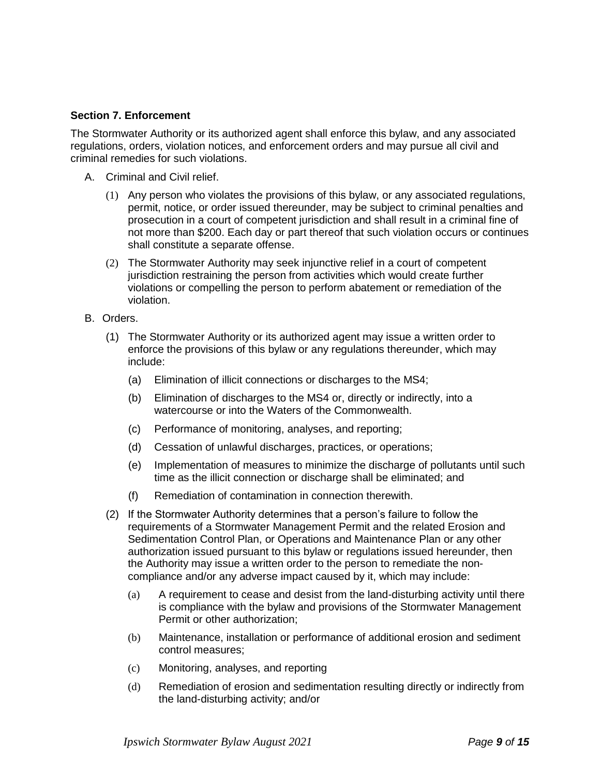#### **Section 7. Enforcement**

The Stormwater Authority or its authorized agent shall enforce this bylaw, and any associated regulations, orders, violation notices, and enforcement orders and may pursue all civil and criminal remedies for such violations.

- A. Criminal and Civil relief.
	- (1) Any person who violates the provisions of this bylaw, or any associated regulations, permit, notice, or order issued thereunder, may be subject to criminal penalties and prosecution in a court of competent jurisdiction and shall result in a criminal fine of not more than \$200. Each day or part thereof that such violation occurs or continues shall constitute a separate offense.
	- (2) The Stormwater Authority may seek injunctive relief in a court of competent jurisdiction restraining the person from activities which would create further violations or compelling the person to perform abatement or remediation of the violation.
- B. Orders.
	- (1) The Stormwater Authority or its authorized agent may issue a written order to enforce the provisions of this bylaw or any regulations thereunder, which may include:
		- (a) Elimination of illicit connections or discharges to the MS4;
		- (b) Elimination of discharges to the MS4 or, directly or indirectly, into a watercourse or into the Waters of the Commonwealth.
		- (c) Performance of monitoring, analyses, and reporting;
		- (d) Cessation of unlawful discharges, practices, or operations;
		- (e) Implementation of measures to minimize the discharge of pollutants until such time as the illicit connection or discharge shall be eliminated; and
		- (f) Remediation of contamination in connection therewith.
	- (2) If the Stormwater Authority determines that a person's failure to follow the requirements of a Stormwater Management Permit and the related Erosion and Sedimentation Control Plan, or Operations and Maintenance Plan or any other authorization issued pursuant to this bylaw or regulations issued hereunder, then the Authority may issue a written order to the person to remediate the noncompliance and/or any adverse impact caused by it, which may include:
		- (a) A requirement to cease and desist from the land-disturbing activity until there is compliance with the bylaw and provisions of the Stormwater Management Permit or other authorization;
		- (b) Maintenance, installation or performance of additional erosion and sediment control measures;
		- (c) Monitoring, analyses, and reporting
		- (d) Remediation of erosion and sedimentation resulting directly or indirectly from the land-disturbing activity; and/or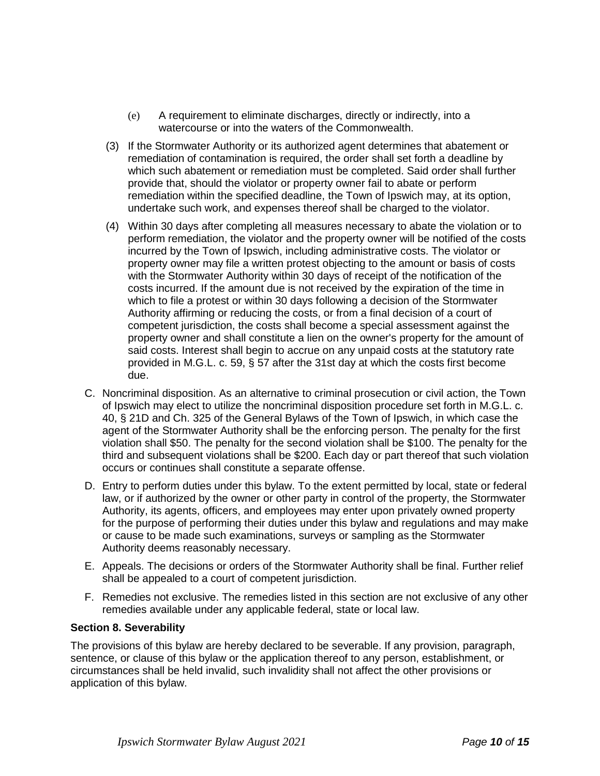- (e) A requirement to eliminate discharges, directly or indirectly, into a watercourse or into the waters of the Commonwealth.
- (3) If the Stormwater Authority or its authorized agent determines that abatement or remediation of contamination is required, the order shall set forth a deadline by which such abatement or remediation must be completed. Said order shall further provide that, should the violator or property owner fail to abate or perform remediation within the specified deadline, the Town of Ipswich may, at its option, undertake such work, and expenses thereof shall be charged to the violator.
- (4) Within 30 days after completing all measures necessary to abate the violation or to perform remediation, the violator and the property owner will be notified of the costs incurred by the Town of Ipswich, including administrative costs. The violator or property owner may file a written protest objecting to the amount or basis of costs with the Stormwater Authority within 30 days of receipt of the notification of the costs incurred. If the amount due is not received by the expiration of the time in which to file a protest or within 30 days following a decision of the Stormwater Authority affirming or reducing the costs, or from a final decision of a court of competent jurisdiction, the costs shall become a special assessment against the property owner and shall constitute a lien on the owner's property for the amount of said costs. Interest shall begin to accrue on any unpaid costs at the statutory rate provided in M.G.L. c. 59, § 57 after the 31st day at which the costs first become due.
- C. Noncriminal disposition. As an alternative to criminal prosecution or civil action, the Town of Ipswich may elect to utilize the noncriminal disposition procedure set forth in M.G.L. c. 40, § 21D and Ch. 325 of the General Bylaws of the Town of Ipswich, in which case the agent of the Stormwater Authority shall be the enforcing person. The penalty for the first violation shall \$50. The penalty for the second violation shall be \$100. The penalty for the third and subsequent violations shall be \$200. Each day or part thereof that such violation occurs or continues shall constitute a separate offense.
- D. Entry to perform duties under this bylaw. To the extent permitted by local, state or federal law, or if authorized by the owner or other party in control of the property, the Stormwater Authority, its agents, officers, and employees may enter upon privately owned property for the purpose of performing their duties under this bylaw and regulations and may make or cause to be made such examinations, surveys or sampling as the Stormwater Authority deems reasonably necessary.
- E. Appeals. The decisions or orders of the Stormwater Authority shall be final. Further relief shall be appealed to a court of competent jurisdiction.
- F. Remedies not exclusive. The remedies listed in this section are not exclusive of any other remedies available under any applicable federal, state or local law.

## **Section 8. Severability**

The provisions of this bylaw are hereby declared to be severable. If any provision, paragraph, sentence, or clause of this bylaw or the application thereof to any person, establishment, or circumstances shall be held invalid, such invalidity shall not affect the other provisions or application of this bylaw.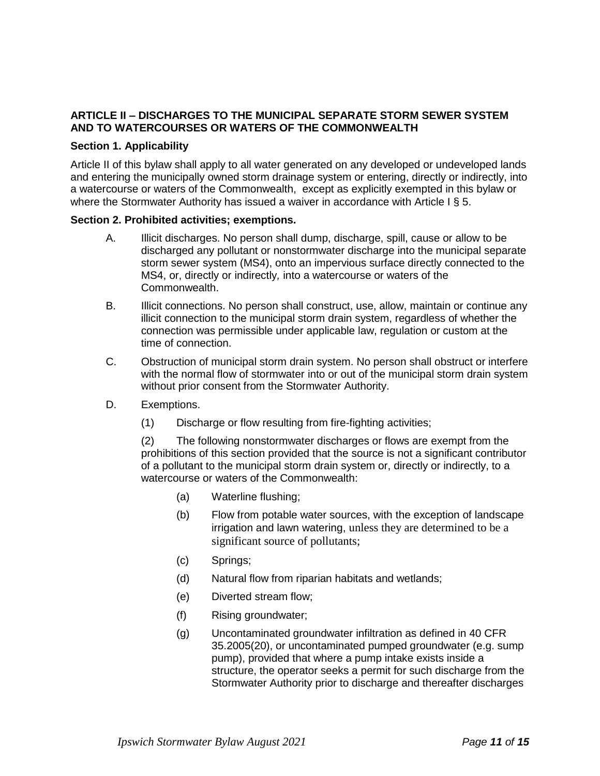## **ARTICLE II – DISCHARGES TO THE MUNICIPAL SEPARATE STORM SEWER SYSTEM AND TO WATERCOURSES OR WATERS OF THE COMMONWEALTH**

## **Section 1. Applicability**

Article II of this bylaw shall apply to all water generated on any developed or undeveloped lands and entering the municipally owned storm drainage system or entering, directly or indirectly, into a watercourse or waters of the Commonwealth, except as explicitly exempted in this bylaw or where the Stormwater Authority has issued a waiver in accordance with Article I § 5.

#### **Section 2. Prohibited activities; exemptions.**

- A. Illicit discharges. No person shall dump, discharge, spill, cause or allow to be discharged any pollutant or nonstormwater discharge into the municipal separate storm sewer system (MS4), onto an impervious surface directly connected to the MS4, or, directly or indirectly*,* into a watercourse or waters of the Commonwealth.
- B. Illicit connections. No person shall construct, use, allow, maintain or continue any illicit connection to the municipal storm drain system, regardless of whether the connection was permissible under applicable law, regulation or custom at the time of connection.
- C. Obstruction of municipal storm drain system. No person shall obstruct or interfere with the normal flow of stormwater into or out of the municipal storm drain system without prior consent from the Stormwater Authority.
- D. Exemptions.
	- (1) Discharge or flow resulting from fire-fighting activities;

(2) The following nonstormwater discharges or flows are exempt from the prohibitions of this section provided that the source is not a significant contributor of a pollutant to the municipal storm drain system or, directly or indirectly, to a watercourse or waters of the Commonwealth:

- (a) Waterline flushing;
- (b) Flow from potable water sources, with the exception of landscape irrigation and lawn watering, unless they are determined to be a significant source of pollutants;
- (c) Springs;
- (d) Natural flow from riparian habitats and wetlands;
- (e) Diverted stream flow;
- (f) Rising groundwater;
- (g) Uncontaminated groundwater infiltration as defined in 40 CFR 35.2005(20), or uncontaminated pumped groundwater (e.g. sump pump), provided that where a pump intake exists inside a structure, the operator seeks a permit for such discharge from the Stormwater Authority prior to discharge and thereafter discharges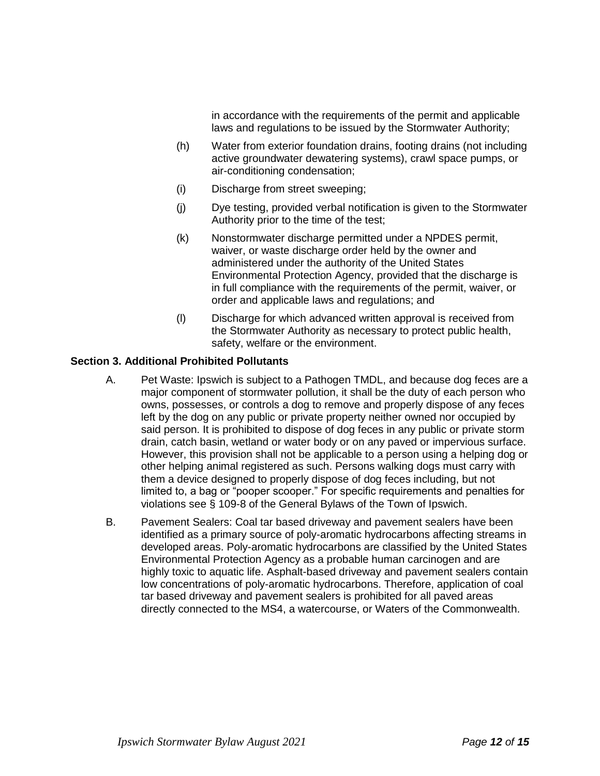in accordance with the requirements of the permit and applicable laws and regulations to be issued by the Stormwater Authority;

- (h) Water from exterior foundation drains, footing drains (not including active groundwater dewatering systems), crawl space pumps, or air-conditioning condensation;
- (i) Discharge from street sweeping;
- (j) Dye testing, provided verbal notification is given to the Stormwater Authority prior to the time of the test;
- (k) Nonstormwater discharge permitted under a NPDES permit, waiver, or waste discharge order held by the owner and administered under the authority of the United States Environmental Protection Agency, provided that the discharge is in full compliance with the requirements of the permit, waiver, or order and applicable laws and regulations; and
- (l) Discharge for which advanced written approval is received from the Stormwater Authority as necessary to protect public health, safety, welfare or the environment.

#### **Section 3. Additional Prohibited Pollutants**

- A. Pet Waste: Ipswich is subject to a Pathogen TMDL, and because dog feces are a major component of stormwater pollution, it shall be the duty of each person who owns, possesses, or controls a dog to remove and properly dispose of any feces left by the dog on any public or private property neither owned nor occupied by said person. It is prohibited to dispose of dog feces in any public or private storm drain, catch basin, wetland or water body or on any paved or impervious surface. However, this provision shall not be applicable to a person using a helping dog or other helping animal registered as such. Persons walking dogs must carry with them a device designed to properly dispose of dog feces including, but not limited to, a bag or "pooper scooper." For specific requirements and penalties for violations see § 109-8 of the General Bylaws of the Town of Ipswich.
- B. Pavement Sealers: Coal tar based driveway and pavement sealers have been identified as a primary source of poly-aromatic hydrocarbons affecting streams in developed areas. Poly-aromatic hydrocarbons are classified by the United States Environmental Protection Agency as a probable human carcinogen and are highly toxic to aquatic life. Asphalt-based driveway and pavement sealers contain low concentrations of poly-aromatic hydrocarbons. Therefore, application of coal tar based driveway and pavement sealers is prohibited for all paved areas directly connected to the MS4, a watercourse, or Waters of the Commonwealth.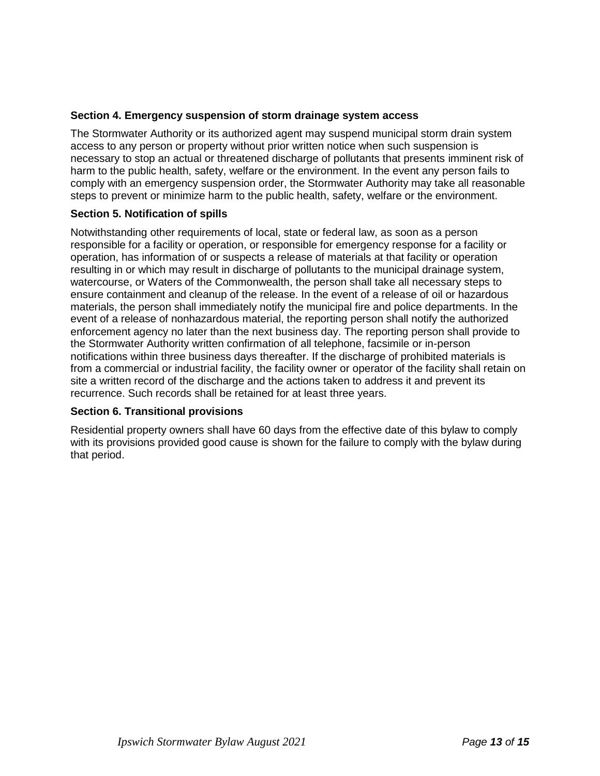## **Section 4. Emergency suspension of storm drainage system access**

The Stormwater Authority or its authorized agent may suspend municipal storm drain system access to any person or property without prior written notice when such suspension is necessary to stop an actual or threatened discharge of pollutants that presents imminent risk of harm to the public health, safety, welfare or the environment. In the event any person fails to comply with an emergency suspension order, the Stormwater Authority may take all reasonable steps to prevent or minimize harm to the public health, safety, welfare or the environment.

## **Section 5. Notification of spills**

Notwithstanding other requirements of local, state or federal law, as soon as a person responsible for a facility or operation, or responsible for emergency response for a facility or operation, has information of or suspects a release of materials at that facility or operation resulting in or which may result in discharge of pollutants to the municipal drainage system, watercourse, or Waters of the Commonwealth, the person shall take all necessary steps to ensure containment and cleanup of the release. In the event of a release of oil or hazardous materials, the person shall immediately notify the municipal fire and police departments. In the event of a release of nonhazardous material, the reporting person shall notify the authorized enforcement agency no later than the next business day. The reporting person shall provide to the Stormwater Authority written confirmation of all telephone, facsimile or in-person notifications within three business days thereafter. If the discharge of prohibited materials is from a commercial or industrial facility, the facility owner or operator of the facility shall retain on site a written record of the discharge and the actions taken to address it and prevent its recurrence. Such records shall be retained for at least three years.

## **Section 6. Transitional provisions**

Residential property owners shall have 60 days from the effective date of this bylaw to comply with its provisions provided good cause is shown for the failure to comply with the bylaw during that period.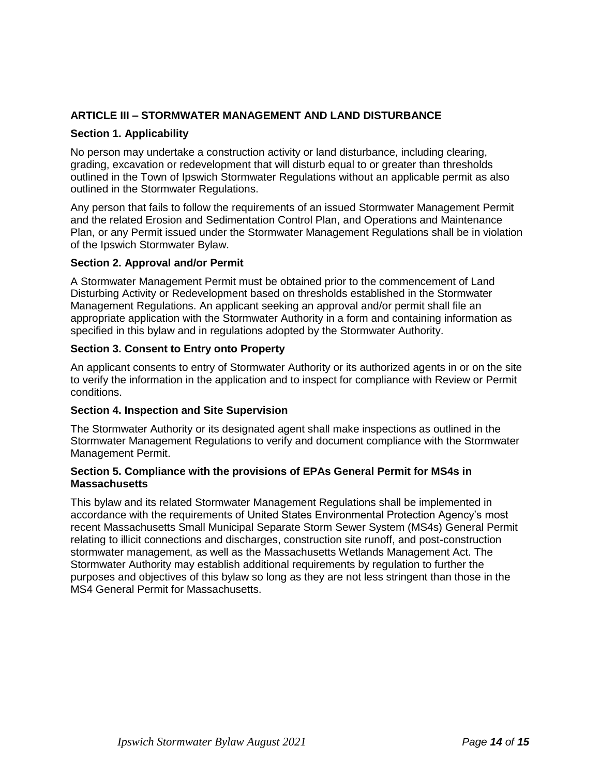## **ARTICLE III – STORMWATER MANAGEMENT AND LAND DISTURBANCE**

## **Section 1. Applicability**

No person may undertake a construction activity or land disturbance, including clearing, grading, excavation or redevelopment that will disturb equal to or greater than thresholds outlined in the Town of Ipswich Stormwater Regulations without an applicable permit as also outlined in the Stormwater Regulations.

Any person that fails to follow the requirements of an issued Stormwater Management Permit and the related Erosion and Sedimentation Control Plan, and Operations and Maintenance Plan, or any Permit issued under the Stormwater Management Regulations shall be in violation of the Ipswich Stormwater Bylaw.

#### **Section 2. Approval and/or Permit**

A Stormwater Management Permit must be obtained prior to the commencement of Land Disturbing Activity or Redevelopment based on thresholds established in the Stormwater Management Regulations. An applicant seeking an approval and/or permit shall file an appropriate application with the Stormwater Authority in a form and containing information as specified in this bylaw and in regulations adopted by the Stormwater Authority.

#### **Section 3. Consent to Entry onto Property**

An applicant consents to entry of Stormwater Authority or its authorized agents in or on the site to verify the information in the application and to inspect for compliance with Review or Permit conditions.

#### **Section 4. Inspection and Site Supervision**

The Stormwater Authority or its designated agent shall make inspections as outlined in the Stormwater Management Regulations to verify and document compliance with the Stormwater Management Permit.

#### **Section 5. Compliance with the provisions of EPAs General Permit for MS4s in Massachusetts**

This bylaw and its related Stormwater Management Regulations shall be implemented in accordance with the requirements of United States Environmental Protection Agency's most recent Massachusetts Small Municipal Separate Storm Sewer System (MS4s) General Permit relating to illicit connections and discharges, construction site runoff, and post-construction stormwater management, as well as the Massachusetts Wetlands Management Act. The Stormwater Authority may establish additional requirements by regulation to further the purposes and objectives of this bylaw so long as they are not less stringent than those in the MS4 General Permit for Massachusetts.